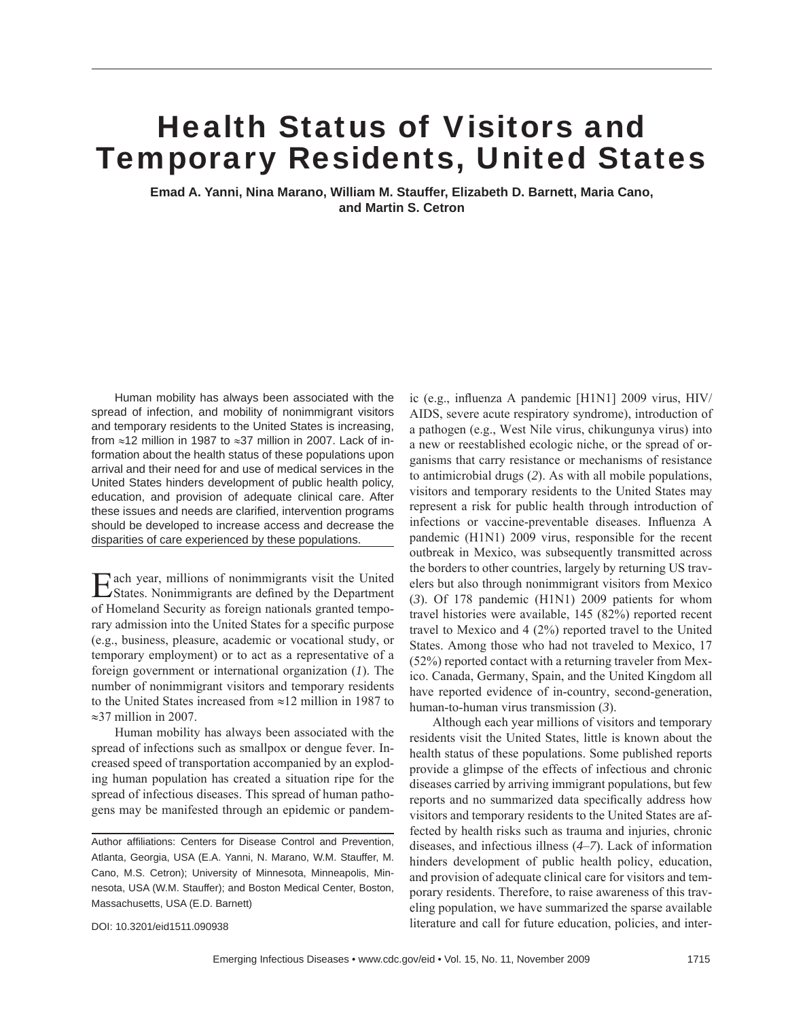## Health Status of Visitors and Temporary Residents, United States

**Emad A. Yanni, Nina Marano, William M. Stauffer, Elizabeth D. Barnett, Maria Cano, and Martin S. Cetron**

Human mobility has always been associated with the spread of infection, and mobility of nonimmigrant visitors and temporary residents to the United States is increasing, from ≈12 million in 1987 to ≈37 million in 2007. Lack of information about the health status of these populations upon arrival and their need for and use of medical services in the United States hinders development of public health policy, education, and provision of adequate clinical care. After these issues and needs are clarified, intervention programs should be developed to increase access and decrease the disparities of care experienced by these populations.

Each year, millions of nonimmigrants visit the United States. Nonimmigrants are defined by the Department of Homeland Security as foreign nationals granted temporary admission into the United States for a specific purpose (e.g., business, pleasure, academic or vocational study, or temporary employment) or to act as a representative of a foreign government or international organization (*1*). The number of nonimmigrant visitors and temporary residents to the United States increased from ≈12 million in 1987 to ≈37 million in 2007.

Human mobility has always been associated with the spread of infections such as smallpox or dengue fever. Increased speed of transportation accompanied by an exploding human population has created a situation ripe for the spread of infectious diseases. This spread of human pathogens may be manifested through an epidemic or pandemic (e.g., influenza A pandemic  $[H1N1]$  2009 virus,  $HIV/$ AIDS, severe acute respiratory syndrome), introduction of a pathogen (e.g., West Nile virus, chikungunya virus) into a new or reestablished ecologic niche, or the spread of organisms that carry resistance or mechanisms of resistance to antimicrobial drugs (*2*). As with all mobile populations, visitors and temporary residents to the United States may represent a risk for public health through introduction of infections or vaccine-preventable diseases. Influenza A pandemic (H1N1) 2009 virus, responsible for the recent outbreak in Mexico, was subsequently transmitted across the borders to other countries, largely by returning US travelers but also through nonimmigrant visitors from Mexico (*3*). Of 178 pandemic (H1N1) 2009 patients for whom travel histories were available, 145 (82%) reported recent travel to Mexico and 4 (2%) reported travel to the United States. Among those who had not traveled to Mexico, 17 (52%) reported contact with a returning traveler from Mexico. Canada, Germany, Spain, and the United Kingdom all have reported evidence of in-country, second-generation, human-to-human virus transmission (*3*).

Although each year millions of visitors and temporary residents visit the United States, little is known about the health status of these populations. Some published reports provide a glimpse of the effects of infectious and chronic diseases carried by arriving immigrant populations, but few reports and no summarized data specifically address how visitors and temporary residents to the United States are affected by health risks such as trauma and injuries, chronic diseases, and infectious illness (*4*–*7*). Lack of information hinders development of public health policy, education, and provision of adequate clinical care for visitors and temporary residents. Therefore, to raise awareness of this traveling population, we have summarized the sparse available literature and call for future education, policies, and inter-

DOI: 10.3201/eid1511.090938

Author affiliations: Centers for Disease Control and Prevention, Atlanta, Georgia, USA (E.A. Yanni, N. Marano, W.M. Stauffer, M. Cano, M.S. Cetron); University of Minnesota, Minneapolis, Minnesota, USA (W.M. Stauffer); and Boston Medical Center, Boston, Massachusetts, USA (E.D. Barnett)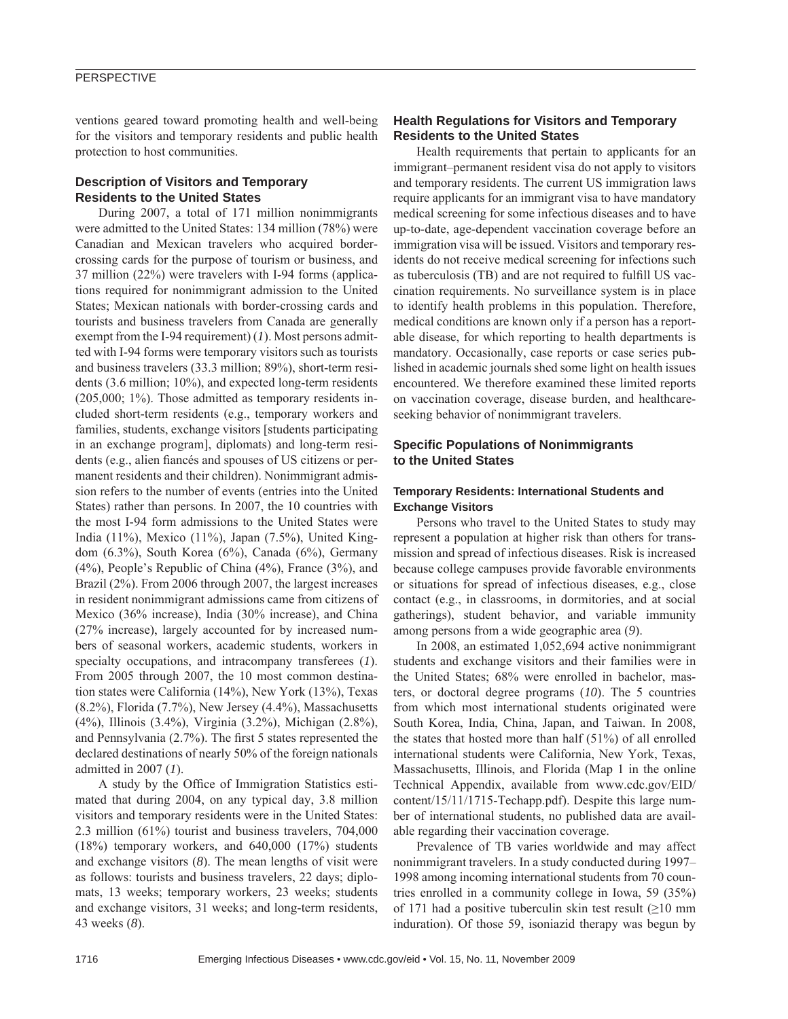## **PERSPECTIVE**

ventions geared toward promoting health and well-being for the visitors and temporary residents and public health protection to host communities.

## **Description of Visitors and Temporary Residents to the United States**

During 2007, a total of 171 million nonimmigrants were admitted to the United States: 134 million (78%) were Canadian and Mexican travelers who acquired bordercrossing cards for the purpose of tourism or business, and 37 million (22%) were travelers with I-94 forms (applications required for nonimmigrant admission to the United States; Mexican nationals with border-crossing cards and tourists and business travelers from Canada are generally exempt from the I-94 requirement) (*1*). Most persons admitted with I-94 forms were temporary visitors such as tourists and business travelers (33.3 million; 89%), short-term residents (3.6 million; 10%), and expected long-term residents (205,000; 1%). Those admitted as temporary residents included short-term residents (e.g., temporary workers and families, students, exchange visitors [students participating in an exchange program], diplomats) and long-term residents (e.g., alien fiancés and spouses of US citizens or permanent residents and their children). Nonimmigrant admission refers to the number of events (entries into the United States) rather than persons. In 2007, the 10 countries with the most I-94 form admissions to the United States were India (11%), Mexico (11%), Japan (7.5%), United Kingdom (6.3%), South Korea (6%), Canada (6%), Germany (4%), People's Republic of China (4%), France (3%), and Brazil (2%). From 2006 through 2007, the largest increases in resident nonimmigrant admissions came from citizens of Mexico (36% increase), India (30% increase), and China (27% increase), largely accounted for by increased numbers of seasonal workers, academic students, workers in specialty occupations, and intracompany transferees (*1*). From 2005 through 2007, the 10 most common destination states were California (14%), New York (13%), Texas (8.2%), Florida (7.7%), New Jersey (4.4%), Massachusetts (4%), Illinois (3.4%), Virginia (3.2%), Michigan (2.8%), and Pennsylvania  $(2.7\%)$ . The first 5 states represented the declared destinations of nearly 50% of the foreign nationals admitted in 2007 (*1*).

A study by the Office of Immigration Statistics estimated that during 2004, on any typical day, 3.8 million visitors and temporary residents were in the United States: 2.3 million (61%) tourist and business travelers, 704,000 (18%) temporary workers, and 640,000 (17%) students and exchange visitors (*8*). The mean lengths of visit were as follows: tourists and business travelers, 22 days; diplomats, 13 weeks; temporary workers, 23 weeks; students and exchange visitors, 31 weeks; and long-term residents, 43 weeks (*8*).

## **Health Regulations for Visitors and Temporary Residents to the United States**

Health requirements that pertain to applicants for an immigrant–permanent resident visa do not apply to visitors and temporary residents. The current US immigration laws require applicants for an immigrant visa to have mandatory medical screening for some infectious diseases and to have up-to-date, age-dependent vaccination coverage before an immigration visa will be issued. Visitors and temporary residents do not receive medical screening for infections such as tuberculosis (TB) and are not required to fulfill US vaccination requirements. No surveillance system is in place to identify health problems in this population. Therefore, medical conditions are known only if a person has a reportable disease, for which reporting to health departments is mandatory. Occasionally, case reports or case series published in academic journals shed some light on health issues encountered. We therefore examined these limited reports on vaccination coverage, disease burden, and healthcareseeking behavior of nonimmigrant travelers.

## **Specifi c Populations of Nonimmigrants to the United States**

## **Temporary Residents: International Students and Exchange Visitors**

Persons who travel to the United States to study may represent a population at higher risk than others for transmission and spread of infectious diseases. Risk is increased because college campuses provide favorable environments or situations for spread of infectious diseases, e.g., close contact (e.g., in classrooms, in dormitories, and at social gatherings), student behavior, and variable immunity among persons from a wide geographic area (*9*).

In 2008, an estimated 1,052,694 active nonimmigrant students and exchange visitors and their families were in the United States; 68% were enrolled in bachelor, masters, or doctoral degree programs (*10*). The 5 countries from which most international students originated were South Korea, India, China, Japan, and Taiwan. In 2008, the states that hosted more than half (51%) of all enrolled international students were California, New York, Texas, Massachusetts, Illinois, and Florida (Map 1 in the online Technical Appendix, available from www.cdc.gov/EID/ content/15/11/1715-Techapp.pdf). Despite this large number of international students, no published data are available regarding their vaccination coverage.

Prevalence of TB varies worldwide and may affect nonimmigrant travelers. In a study conducted during 1997– 1998 among incoming international students from 70 countries enrolled in a community college in Iowa, 59 (35%) of 171 had a positive tuberculin skin test result  $(≥10$  mm induration). Of those 59, isoniazid therapy was begun by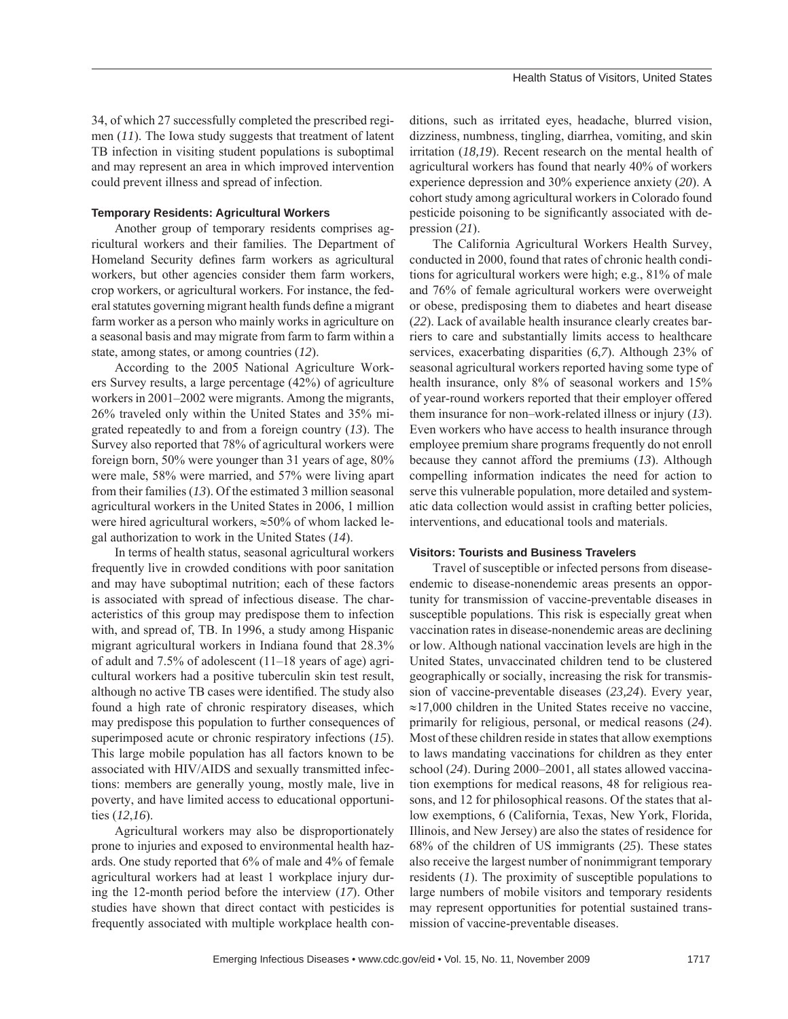34, of which 27 successfully completed the prescribed regimen (*11*). The Iowa study suggests that treatment of latent TB infection in visiting student populations is suboptimal and may represent an area in which improved intervention could prevent illness and spread of infection.

#### **Temporary Residents: Agricultural Workers**

Another group of temporary residents comprises agricultural workers and their families. The Department of Homeland Security defines farm workers as agricultural workers, but other agencies consider them farm workers, crop workers, or agricultural workers. For instance, the federal statutes governing migrant health funds define a migrant farm worker as a person who mainly works in agriculture on a seasonal basis and may migrate from farm to farm within a state, among states, or among countries (*12*).

According to the 2005 National Agriculture Workers Survey results, a large percentage (42%) of agriculture workers in 2001–2002 were migrants. Among the migrants, 26% traveled only within the United States and 35% migrated repeatedly to and from a foreign country (*13*). The Survey also reported that 78% of agricultural workers were foreign born, 50% were younger than 31 years of age, 80% were male, 58% were married, and 57% were living apart from their families (*13*). Of the estimated 3 million seasonal agricultural workers in the United States in 2006, 1 million were hired agricultural workers, ≈50% of whom lacked legal authorization to work in the United States (*14*).

In terms of health status, seasonal agricultural workers frequently live in crowded conditions with poor sanitation and may have suboptimal nutrition; each of these factors is associated with spread of infectious disease. The characteristics of this group may predispose them to infection with, and spread of, TB. In 1996, a study among Hispanic migrant agricultural workers in Indiana found that 28.3% of adult and 7.5% of adolescent (11–18 years of age) agricultural workers had a positive tuberculin skin test result, although no active TB cases were identified. The study also found a high rate of chronic respiratory diseases, which may predispose this population to further consequences of superimposed acute or chronic respiratory infections (*15*). This large mobile population has all factors known to be associated with HIV/AIDS and sexually transmitted infections: members are generally young, mostly male, live in poverty, and have limited access to educational opportunities (*12*,*16*).

Agricultural workers may also be disproportionately prone to injuries and exposed to environmental health hazards. One study reported that 6% of male and 4% of female agricultural workers had at least 1 workplace injury during the 12-month period before the interview (*17*). Other studies have shown that direct contact with pesticides is frequently associated with multiple workplace health conditions, such as irritated eyes, headache, blurred vision, dizziness, numbness, tingling, diarrhea, vomiting, and skin irritation (*18,19*). Recent research on the mental health of agricultural workers has found that nearly 40% of workers experience depression and 30% experience anxiety (*20*). A cohort study among agricultural workers in Colorado found pesticide poisoning to be significantly associated with depression (*21*).

The California Agricultural Workers Health Survey, conducted in 2000, found that rates of chronic health conditions for agricultural workers were high; e.g., 81% of male and 76% of female agricultural workers were overweight or obese, predisposing them to diabetes and heart disease (*22*). Lack of available health insurance clearly creates barriers to care and substantially limits access to healthcare services, exacerbating disparities (*6*,*7*). Although 23% of seasonal agricultural workers reported having some type of health insurance, only 8% of seasonal workers and 15% of year-round workers reported that their employer offered them insurance for non–work-related illness or injury (*13*). Even workers who have access to health insurance through employee premium share programs frequently do not enroll because they cannot afford the premiums (*13*). Although compelling information indicates the need for action to serve this vulnerable population, more detailed and systematic data collection would assist in crafting better policies, interventions, and educational tools and materials.

#### **Visitors: Tourists and Business Travelers**

Travel of susceptible or infected persons from diseaseendemic to disease-nonendemic areas presents an opportunity for transmission of vaccine-preventable diseases in susceptible populations. This risk is especially great when vaccination rates in disease-nonendemic areas are declining or low. Although national vaccination levels are high in the United States, unvaccinated children tend to be clustered geographically or socially, increasing the risk for transmission of vaccine-preventable diseases (*23,24*). Every year, ≈17,000 children in the United States receive no vaccine, primarily for religious, personal, or medical reasons (*24*). Most of these children reside in states that allow exemptions to laws mandating vaccinations for children as they enter school (*24*). During 2000–2001, all states allowed vaccination exemptions for medical reasons, 48 for religious reasons, and 12 for philosophical reasons. Of the states that allow exemptions, 6 (California, Texas, New York, Florida, Illinois, and New Jersey) are also the states of residence for 68% of the children of US immigrants (*25*). These states also receive the largest number of nonimmigrant temporary residents (*1*). The proximity of susceptible populations to large numbers of mobile visitors and temporary residents may represent opportunities for potential sustained transmission of vaccine-preventable diseases.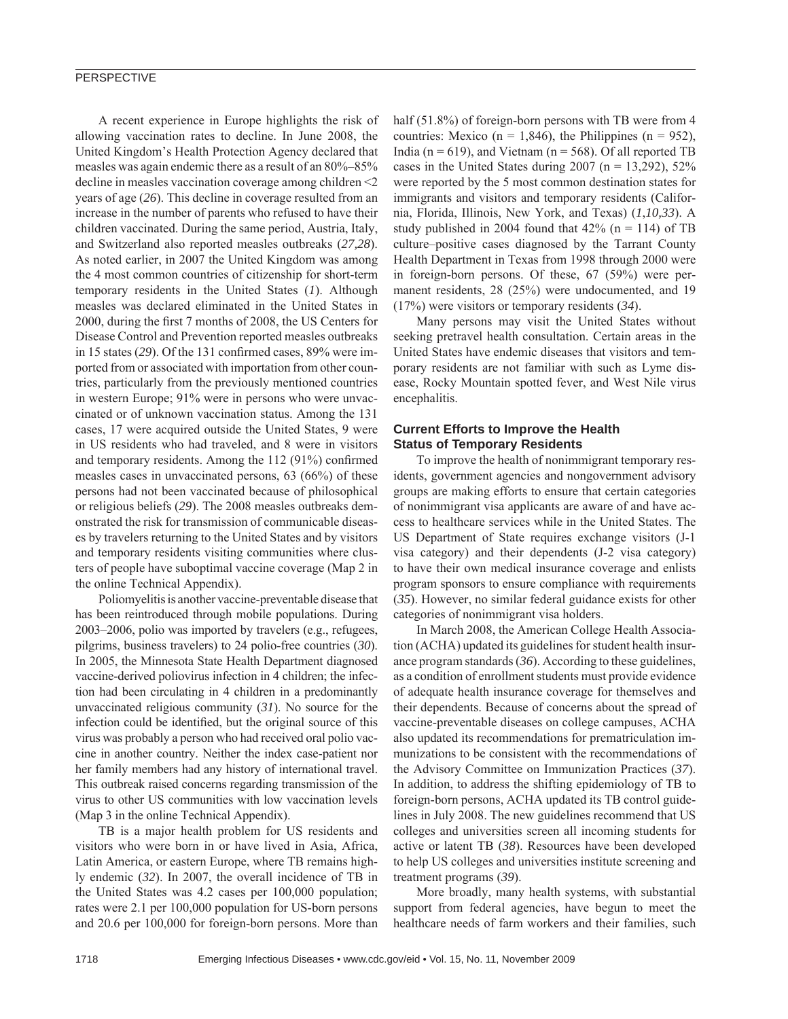## **PERSPECTIVE**

A recent experience in Europe highlights the risk of allowing vaccination rates to decline. In June 2008, the United Kingdom's Health Protection Agency declared that measles was again endemic there as a result of an 80%–85% decline in measles vaccination coverage among children <2 years of age (*26*). This decline in coverage resulted from an increase in the number of parents who refused to have their children vaccinated. During the same period, Austria, Italy, and Switzerland also reported measles outbreaks (*27,28*). As noted earlier, in 2007 the United Kingdom was among the 4 most common countries of citizenship for short-term temporary residents in the United States (*1*). Although measles was declared eliminated in the United States in 2000, during the first 7 months of 2008, the US Centers for Disease Control and Prevention reported measles outbreaks in 15 states (29). Of the 131 confirmed cases, 89% were imported from or associated with importation from other countries, particularly from the previously mentioned countries in western Europe; 91% were in persons who were unvaccinated or of unknown vaccination status. Among the 131 cases, 17 were acquired outside the United States, 9 were in US residents who had traveled, and 8 were in visitors and temporary residents. Among the  $112 (91%)$  confirmed measles cases in unvaccinated persons, 63 (66%) of these persons had not been vaccinated because of philosophical or religious beliefs (*29*). The 2008 measles outbreaks demonstrated the risk for transmission of communicable diseases by travelers returning to the United States and by visitors and temporary residents visiting communities where clusters of people have suboptimal vaccine coverage (Map 2 in the online Technical Appendix).

Poliomyelitis is another vaccine-preventable disease that has been reintroduced through mobile populations. During 2003–2006, polio was imported by travelers (e.g., refugees, pilgrims, business travelers) to 24 polio-free countries (*30*). In 2005, the Minnesota State Health Department diagnosed vaccine-derived poliovirus infection in 4 children; the infection had been circulating in 4 children in a predominantly unvaccinated religious community (*31*). No source for the infection could be identified, but the original source of this virus was probably a person who had received oral polio vaccine in another country. Neither the index case-patient nor her family members had any history of international travel. This outbreak raised concerns regarding transmission of the virus to other US communities with low vaccination levels (Map 3 in the online Technical Appendix).

TB is a major health problem for US residents and visitors who were born in or have lived in Asia, Africa, Latin America, or eastern Europe, where TB remains highly endemic (*32*). In 2007, the overall incidence of TB in the United States was 4.2 cases per 100,000 population; rates were 2.1 per 100,000 population for US-born persons and 20.6 per 100,000 for foreign-born persons. More than half (51.8%) of foreign-born persons with TB were from 4 countries: Mexico (n = 1,846), the Philippines (n = 952), India ( $n = 619$ ), and Vietnam ( $n = 568$ ). Of all reported TB cases in the United States during  $2007$  (n = 13,292),  $52\%$ were reported by the 5 most common destination states for immigrants and visitors and temporary residents (California, Florida, Illinois, New York, and Texas) (*1*,*10,33*). A study published in 2004 found that  $42\%$  (n = 114) of TB culture–positive cases diagnosed by the Tarrant County Health Department in Texas from 1998 through 2000 were in foreign-born persons. Of these, 67 (59%) were permanent residents, 28 (25%) were undocumented, and 19 (17%) were visitors or temporary residents (*34*).

Many persons may visit the United States without seeking pretravel health consultation. Certain areas in the United States have endemic diseases that visitors and temporary residents are not familiar with such as Lyme disease, Rocky Mountain spotted fever, and West Nile virus encephalitis.

## **Current Efforts to Improve the Health Status of Temporary Residents**

To improve the health of nonimmigrant temporary residents, government agencies and nongovernment advisory groups are making efforts to ensure that certain categories of nonimmigrant visa applicants are aware of and have access to healthcare services while in the United States. The US Department of State requires exchange visitors (J-1 visa category) and their dependents (J-2 visa category) to have their own medical insurance coverage and enlists program sponsors to ensure compliance with requirements (*35*). However, no similar federal guidance exists for other categories of nonimmigrant visa holders.

In March 2008, the American College Health Association (ACHA) updated its guidelines for student health insurance program standards (*36*). According to these guidelines, as a condition of enrollment students must provide evidence of adequate health insurance coverage for themselves and their dependents. Because of concerns about the spread of vaccine-preventable diseases on college campuses, ACHA also updated its recommendations for prematriculation immunizations to be consistent with the recommendations of the Advisory Committee on Immunization Practices (*37*). In addition, to address the shifting epidemiology of TB to foreign-born persons, ACHA updated its TB control guidelines in July 2008. The new guidelines recommend that US colleges and universities screen all incoming students for active or latent TB (*38*). Resources have been developed to help US colleges and universities institute screening and treatment programs (*39*).

More broadly, many health systems, with substantial support from federal agencies, have begun to meet the healthcare needs of farm workers and their families, such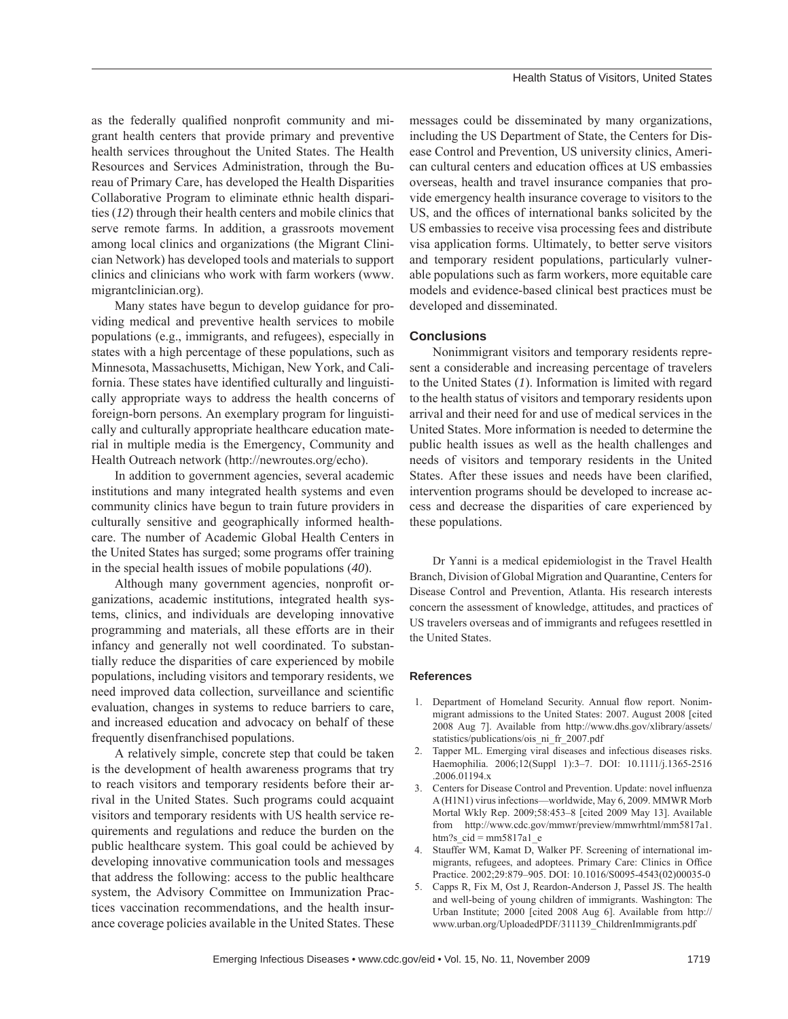as the federally qualified nonprofit community and migrant health centers that provide primary and preventive health services throughout the United States. The Health Resources and Services Administration, through the Bureau of Primary Care, has developed the Health Disparities Collaborative Program to eliminate ethnic health disparities (*12*) through their health centers and mobile clinics that serve remote farms. In addition, a grassroots movement among local clinics and organizations (the Migrant Clinician Network) has developed tools and materials to support clinics and clinicians who work with farm workers (www. migrantclinician.org).

Many states have begun to develop guidance for providing medical and preventive health services to mobile populations (e.g., immigrants, and refugees), especially in states with a high percentage of these populations, such as Minnesota, Massachusetts, Michigan, New York, and California. These states have identified culturally and linguistically appropriate ways to address the health concerns of foreign-born persons. An exemplary program for linguistically and culturally appropriate healthcare education material in multiple media is the Emergency, Community and Health Outreach network (http://newroutes.org/echo).

In addition to government agencies, several academic institutions and many integrated health systems and even community clinics have begun to train future providers in culturally sensitive and geographically informed healthcare. The number of Academic Global Health Centers in the United States has surged; some programs offer training in the special health issues of mobile populations (*40*).

Although many government agencies, nonprofit organizations, academic institutions, integrated health systems, clinics, and individuals are developing innovative programming and materials, all these efforts are in their infancy and generally not well coordinated. To substantially reduce the disparities of care experienced by mobile populations, including visitors and temporary residents, we need improved data collection, surveillance and scientific evaluation, changes in systems to reduce barriers to care, and increased education and advocacy on behalf of these frequently disenfranchised populations.

A relatively simple, concrete step that could be taken is the development of health awareness programs that try to reach visitors and temporary residents before their arrival in the United States. Such programs could acquaint visitors and temporary residents with US health service requirements and regulations and reduce the burden on the public healthcare system. This goal could be achieved by developing innovative communication tools and messages that address the following: access to the public healthcare system, the Advisory Committee on Immunization Practices vaccination recommendations, and the health insurance coverage policies available in the United States. These messages could be disseminated by many organizations, including the US Department of State, the Centers for Disease Control and Prevention, US university clinics, American cultural centers and education offices at US embassies overseas, health and travel insurance companies that provide emergency health insurance coverage to visitors to the US, and the offices of international banks solicited by the US embassies to receive visa processing fees and distribute visa application forms. Ultimately, to better serve visitors and temporary resident populations, particularly vulnerable populations such as farm workers, more equitable care models and evidence-based clinical best practices must be developed and disseminated.

#### **Conclusions**

Nonimmigrant visitors and temporary residents represent a considerable and increasing percentage of travelers to the United States (*1*). Information is limited with regard to the health status of visitors and temporary residents upon arrival and their need for and use of medical services in the United States. More information is needed to determine the public health issues as well as the health challenges and needs of visitors and temporary residents in the United States. After these issues and needs have been clarified, intervention programs should be developed to increase access and decrease the disparities of care experienced by these populations.

Dr Yanni is a medical epidemiologist in the Travel Health Branch, Division of Global Migration and Quarantine, Centers for Disease Control and Prevention, Atlanta. His research interests concern the assessment of knowledge, attitudes, and practices of US travelers overseas and of immigrants and refugees resettled in the United States.

#### **References**

- 1. Department of Homeland Security. Annual flow report. Nonimmigrant admissions to the United States: 2007. August 2008 [cited 2008 Aug 7]. Available from http://www.dhs.gov/xlibrary/assets/ statistics/publications/ois\_ni\_fr\_2007.pdf
- 2. Tapper ML. Emerging viral diseases and infectious diseases risks. Haemophilia. 2006;12(Suppl 1):3–7. DOI: 10.1111/j.1365-2516 .2006.01194.x
- 3. Centers for Disease Control and Prevention. Update: novel influenza A (H1N1) virus infections—worldwide, May 6, 2009. MMWR Morb Mortal Wkly Rep. 2009;58:453–8 [cited 2009 May 13]. Available from http://www.cdc.gov/mmwr/preview/mmwrhtml/mm5817a1. htm?s $ci = mm5817a1$  $e$
- 4. Stauffer WM, Kamat D, Walker PF. Screening of international immigrants, refugees, and adoptees. Primary Care: Clinics in Office Practice. 2002;29:879–905. DOI: 10.1016/S0095-4543(02)00035-0
- 5. Capps R, Fix M, Ost J, Reardon-Anderson J, Passel JS. The health and well-being of young children of immigrants. Washington: The Urban Institute; 2000 [cited 2008 Aug 6]. Available from http:// www.urban.org/UploadedPDF/311139\_ChildrenImmigrants.pdf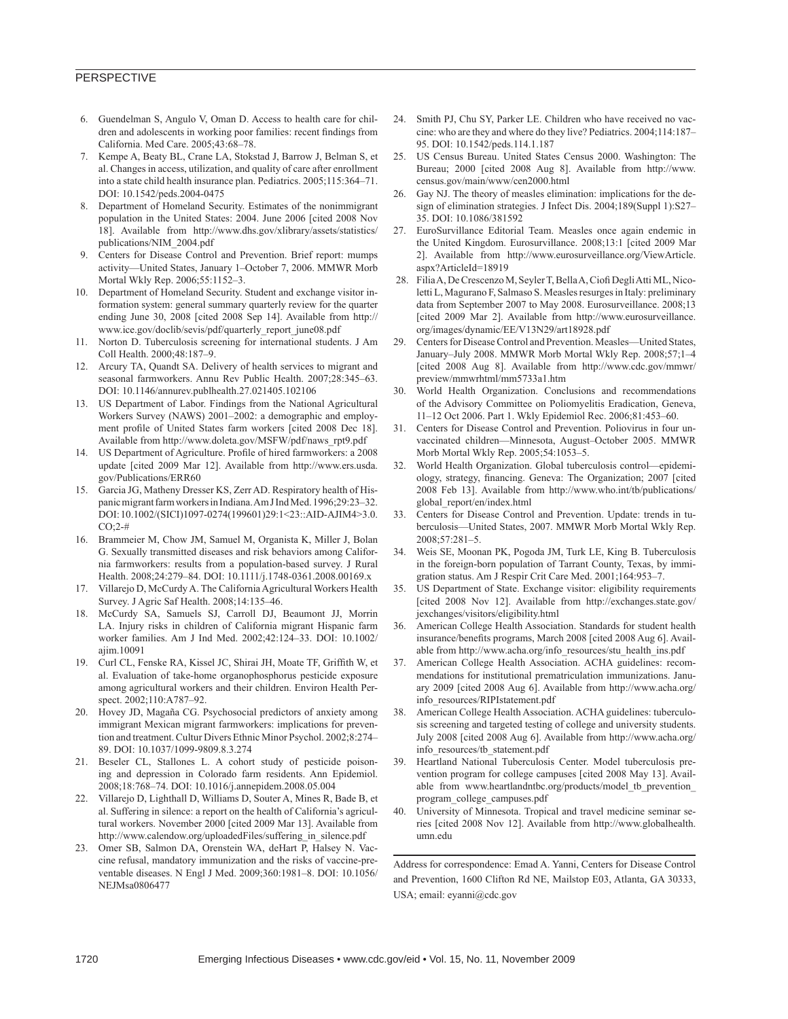### PERSPECTIVE

- 6. Guendelman S, Angulo V, Oman D. Access to health care for children and adolescents in working poor families: recent findings from California. Med Care. 2005;43:68–78.
- 7. Kempe A, Beaty BL, Crane LA, Stokstad J, Barrow J, Belman S, et al. Changes in access, utilization, and quality of care after enrollment into a state child health insurance plan. Pediatrics. 2005;115:364–71. DOI: 10.1542/peds.2004-0475
- 8. Department of Homeland Security. Estimates of the nonimmigrant population in the United States: 2004. June 2006 [cited 2008 Nov 18]. Available from http://www.dhs.gov/xlibrary/assets/statistics/ publications/NIM\_2004.pdf
- 9. Centers for Disease Control and Prevention. Brief report: mumps activity—United States, January 1–October 7, 2006. MMWR Morb Mortal Wkly Rep. 2006;55:1152–3.
- 10. Department of Homeland Security. Student and exchange visitor information system: general summary quarterly review for the quarter ending June 30, 2008 [cited 2008 Sep 14]. Available from http:// www.ice.gov/doclib/sevis/pdf/quarterly\_report\_june08.pdf
- 11. Norton D. Tuberculosis screening for international students. J Am Coll Health. 2000;48:187–9.
- 12. Arcury TA, Quandt SA. Delivery of health services to migrant and seasonal farmworkers. Annu Rev Public Health. 2007;28:345–63. DOI: 10.1146/annurev.publhealth.27.021405.102106
- 13. US Department of Labor. Findings from the National Agricultural Workers Survey (NAWS) 2001–2002: a demographic and employment profile of United States farm workers [cited 2008 Dec 18]. Available from http://www.doleta.gov/MSFW/pdf/naws\_rpt9.pdf
- 14. US Department of Agriculture. Profile of hired farmworkers: a 2008 update [cited 2009 Mar 12]. Available from http://www.ers.usda. gov/Publications/ERR60
- 15. Garcia JG, Matheny Dresser KS, Zerr AD. Respiratory health of Hispanic migrant farm workers in Indiana. Am J Ind Med. 1996;29:23–32. DOI: 10.1002/(SICI)1097-0274(199601)29:1<23::AID-AJIM4>3.0. CO;2-#
- 16. Brammeier M, Chow JM, Samuel M, Organista K, Miller J, Bolan G. Sexually transmitted diseases and risk behaviors among California farmworkers: results from a population-based survey. J Rural Health. 2008;24:279–84. DOI: 10.1111/j.1748-0361.2008.00169.x
- 17. Villarejo D, McCurdy A. The California Agricultural Workers Health Survey. J Agric Saf Health. 2008;14:135–46.
- 18. McCurdy SA, Samuels SJ, Carroll DJ, Beaumont JJ, Morrin LA. Injury risks in children of California migrant Hispanic farm worker families. Am J Ind Med. 2002;42:124–33. DOI: 10.1002/ ajim.10091
- 19. Curl CL, Fenske RA, Kissel JC, Shirai JH, Moate TF, Griffith W, et al. Evaluation of take-home organophosphorus pesticide exposure among agricultural workers and their children. Environ Health Perspect. 2002;110:A787–92.
- 20. Hovey JD, Magaña CG. Psychosocial predictors of anxiety among immigrant Mexican migrant farmworkers: implications for prevention and treatment. Cultur Divers Ethnic Minor Psychol. 2002;8:274– 89. DOI: 10.1037/1099-9809.8.3.274
- 21. Beseler CL, Stallones L. A cohort study of pesticide poisoning and depression in Colorado farm residents. Ann Epidemiol. 2008;18:768–74. DOI: 10.1016/j.annepidem.2008.05.004
- 22. Villarejo D, Lighthall D, Williams D, Souter A, Mines R, Bade B, et al. Suffering in silence: a report on the health of California's agricultural workers. November 2000 [cited 2009 Mar 13]. Available from http://www.calendow.org/uploadedFiles/suffering\_in\_silence.pdf
- 23. Omer SB, Salmon DA, Orenstein WA, deHart P, Halsey N. Vaccine refusal, mandatory immunization and the risks of vaccine-preventable diseases. N Engl J Med. 2009;360:1981–8. DOI: 10.1056/ NEJMsa0806477
- 24. Smith PJ, Chu SY, Parker LE. Children who have received no vaccine: who are they and where do they live? Pediatrics. 2004;114:187– 95. DOI: 10.1542/peds.114.1.187
- 25. US Census Bureau. United States Census 2000. Washington: The Bureau; 2000 [cited 2008 Aug 8]. Available from http://www. census.gov/main/www/cen2000.html
- 26. Gay NJ. The theory of measles elimination: implications for the design of elimination strategies. J Infect Dis. 2004;189(Suppl 1):S27– 35. DOI: 10.1086/381592
- 27. EuroSurvillance Editorial Team. Measles once again endemic in the United Kingdom. Eurosurvillance. 2008;13:1 [cited 2009 Mar 2]. Available from http://www.eurosurveillance.org/ViewArticle. aspx?ArticleId=18919
- 28. Filia A, De Crescenzo M, Seyler T, Bella A, Ciofi Degli Atti ML, Nicoletti L, Magurano F, Salmaso S. Measles resurges in Italy: preliminary data from September 2007 to May 2008. Eurosurveillance. 2008;13 [cited 2009 Mar 2]. Available from http://www.eurosurveillance. org/images/dynamic/EE/V13N29/art18928.pdf
- 29. Centers for Disease Control and Prevention. Measles—United States, January–July 2008. MMWR Morb Mortal Wkly Rep. 2008;57;1–4 [cited 2008 Aug 8]. Available from http://www.cdc.gov/mmwr/ preview/mmwrhtml/mm5733a1.htm
- 30. World Health Organization. Conclusions and recommendations of the Advisory Committee on Poliomyelitis Eradication, Geneva, 11–12 Oct 2006. Part 1. Wkly Epidemiol Rec. 2006;81:453–60.
- 31. Centers for Disease Control and Prevention. Poliovirus in four unvaccinated children—Minnesota, August–October 2005. MMWR Morb Mortal Wkly Rep. 2005;54:1053–5.
- 32. World Health Organization. Global tuberculosis control—epidemiology, strategy, financing. Geneva: The Organization; 2007 [cited] 2008 Feb 13]. Available from http://www.who.int/tb/publications/ global\_report/en/index.html
- 33. Centers for Disease Control and Prevention. Update: trends in tuberculosis—United States, 2007. MMWR Morb Mortal Wkly Rep. 2008;57:281–5.
- 34. Weis SE, Moonan PK, Pogoda JM, Turk LE, King B. Tuberculosis in the foreign-born population of Tarrant County, Texas, by immigration status. Am J Respir Crit Care Med. 2001;164:953–7.
- 35. US Department of State. Exchange visitor: eligibility requirements [cited 2008 Nov 12]. Available from http://exchanges.state.gov/ jexchanges/visitors/eligibility.html
- 36. American College Health Association. Standards for student health insurance/benefits programs, March 2008 [cited 2008 Aug 6]. Available from http://www.acha.org/info\_resources/stu\_health\_ins.pdf
- 37. American College Health Association. ACHA guidelines: recommendations for institutional prematriculation immunizations. January 2009 [cited 2008 Aug 6]. Available from http://www.acha.org/ info\_resources/RIPIstatement.pdf
- 38. American College Health Association. ACHA guidelines: tuberculosis screening and targeted testing of college and university students. July 2008 [cited 2008 Aug 6]. Available from http://www.acha.org/ info\_resources/tb\_statement.pdf
- 39. Heartland National Tuberculosis Center. Model tuberculosis prevention program for college campuses [cited 2008 May 13]. Available from www.heartlandntbc.org/products/model\_tb\_prevention\_ program\_college\_campuses.pdf
- 40. University of Minnesota. Tropical and travel medicine seminar series [cited 2008 Nov 12]. Available from http://www.globalhealth. umn.edu

Address for correspondence: Emad A. Yanni, Centers for Disease Control and Prevention, 1600 Clifton Rd NE, Mailstop E03, Atlanta, GA 30333, USA; email: eyanni@cdc.gov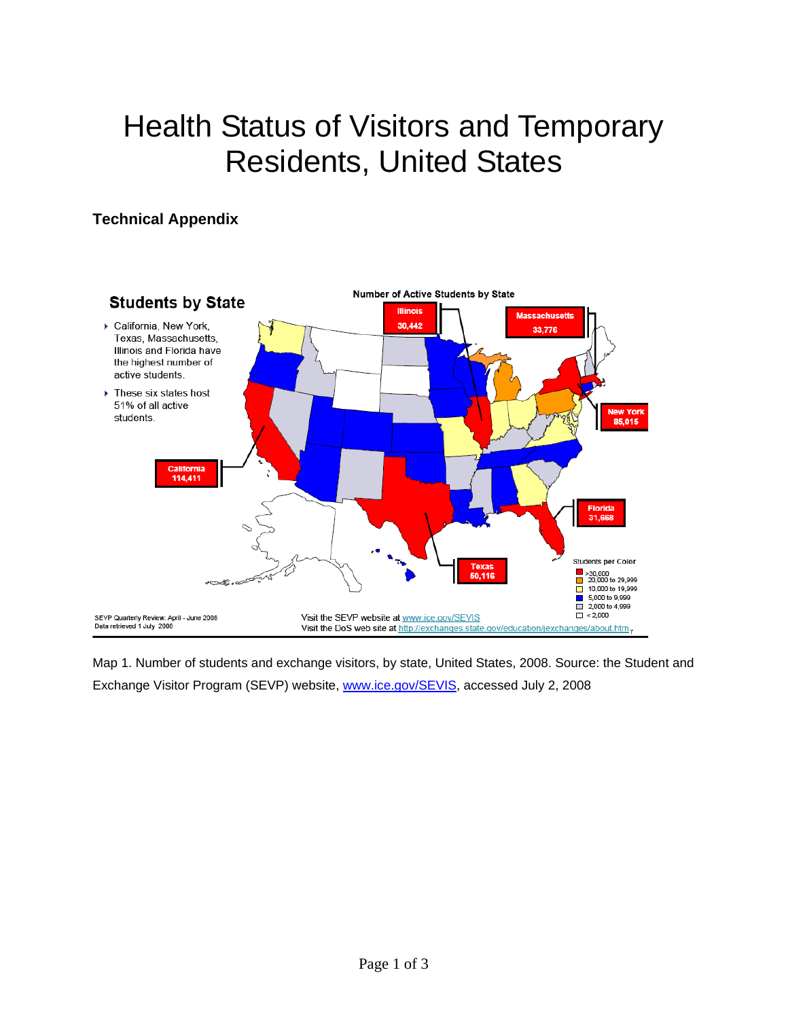# Health Status of Visitors and Temporary Residents, United States

## **Technical Appendix**



Map 1. Number of students and exchange visitors, by state, United States, 2008. Source: the Student and Exchange Visitor Program (SEVP) website, [www.ice.gov/SEVIS,](http://www.ice.gov/SEVIS) accessed July 2, 2008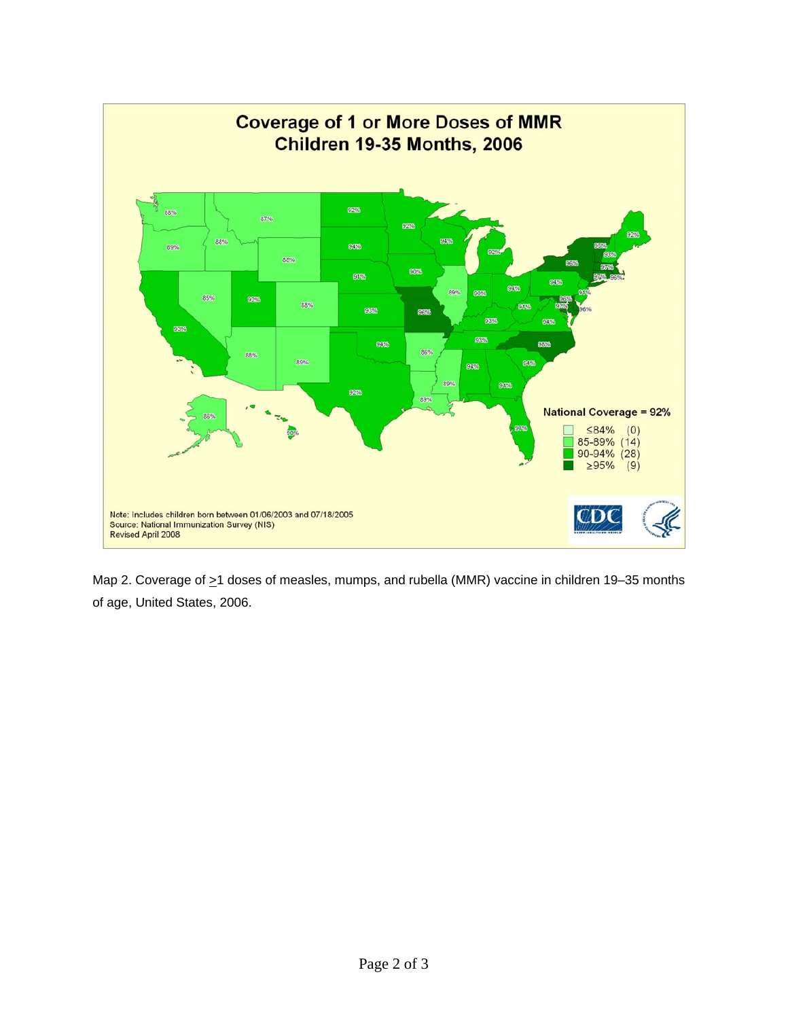

Map 2. Coverage of  $\geq$ 1 doses of measles, mumps, and rubella (MMR) vaccine in children 19–35 months of age, United States, 2006.